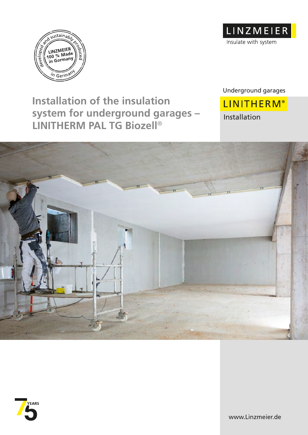



**Installation of the insulation system for underground garages – LINITHERM PAL TG Biozell**®

Underground garages

**LINITHERM®** Installation





www.Linzmeier.de